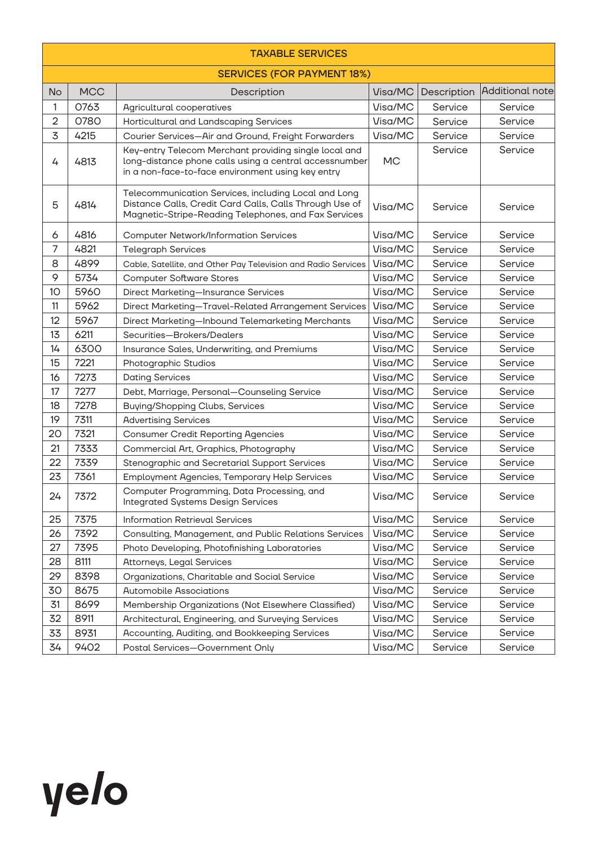| <b>TAXABLE SERVICES</b> |                                   |                                                                                                                                                                         |         |             |                 |  |  |
|-------------------------|-----------------------------------|-------------------------------------------------------------------------------------------------------------------------------------------------------------------------|---------|-------------|-----------------|--|--|
|                         | <b>SERVICES (FOR PAYMENT 18%)</b> |                                                                                                                                                                         |         |             |                 |  |  |
| <b>No</b>               | <b>MCC</b>                        | Description                                                                                                                                                             | Visa/MC | Description | Additional note |  |  |
| 1                       | 0763                              | Agricultural cooperatives                                                                                                                                               | Visa/MC | Service     | Service         |  |  |
| $\overline{2}$          | 0780                              | Horticultural and Landscaping Services                                                                                                                                  | Visa/MC | Service     | Service         |  |  |
| 3                       | 4215                              | Visa/MC<br>Courier Services-Air and Ground, Freight Forwarders                                                                                                          |         | Service     | Service         |  |  |
| 4                       | 4813                              | Key-entry Telecom Merchant providing single local and<br>long-distance phone calls using a central accessnumber<br>in a non-face-to-face environment using key entry    |         | Service     | Service         |  |  |
| 5                       | 4814                              | Telecommunication Services, including Local and Long<br>Distance Calls, Credit Card Calls, Calls Through Use of<br>Magnetic-Stripe-Reading Telephones, and Fax Services |         | Service     | Service         |  |  |
| 6                       | 4816                              | <b>Computer Network/Information Services</b>                                                                                                                            | Visa/MC | Service     | Service         |  |  |
| 7                       | 4821                              | <b>Telegraph Services</b>                                                                                                                                               | Visa/MC | Service     | Service         |  |  |
| 8                       | 4899                              | Cable, Satellite, and Other Pay Television and Radio Services                                                                                                           | Visa/MC | Service     | Service         |  |  |
| 9                       | 5734                              | <b>Computer Software Stores</b>                                                                                                                                         | Visa/MC | Service     | Service         |  |  |
| 10                      | 5960                              | Direct Marketing-Insurance Services                                                                                                                                     | Visa/MC | Service     | Service         |  |  |
| 11                      | 5962                              | Direct Marketing-Travel-Related Arrangement Services                                                                                                                    | Visa/MC | Service     | Service         |  |  |
| 12                      | 5967                              | Direct Marketing-Inbound Telemarketing Merchants                                                                                                                        | Visa/MC | Service     | Service         |  |  |
| 13                      | 6211                              | Securities-Brokers/Dealers                                                                                                                                              | Visa/MC | Service     | Service         |  |  |
| 14                      | 6300                              | Insurance Sales, Underwriting, and Premiums                                                                                                                             | Visa/MC | Service     | Service         |  |  |
| 15                      | 7221                              | Photographic Studios                                                                                                                                                    | Visa/MC | Service     | Service         |  |  |
| 16                      | 7273                              | <b>Dating Services</b>                                                                                                                                                  | Visa/MC | Service     | Service         |  |  |
| 17                      | 7277                              | Debt, Marriage, Personal-Counseling Service                                                                                                                             | Visa/MC | Service     | Service         |  |  |
| 18                      | 7278                              | Buying/Shopping Clubs, Services                                                                                                                                         | Visa/MC | Service     | Service         |  |  |
| 19                      | 7311                              | <b>Advertising Services</b>                                                                                                                                             | Visa/MC | Service     | Service         |  |  |
| 20                      | 7321                              | <b>Consumer Credit Reporting Agencies</b>                                                                                                                               | Visa/MC | Service     | Service         |  |  |
| 21                      | 7333                              | Commercial Art, Graphics, Photography                                                                                                                                   | Visa/MC | Service     | Service         |  |  |
| 22                      | 7339                              | Stenographic and Secretarial Support Services                                                                                                                           | Visa/MC | Service     | Service         |  |  |
| 23                      | 7361                              | <b>Employment Agencies, Temporary Help Services</b>                                                                                                                     | Visa/MC | Service     | Service         |  |  |
| 24                      | 7372                              | Computer Programming, Data Processing, and<br><b>Integrated Systems Design Services</b>                                                                                 | Visa/MC | Service     | Service         |  |  |
| 25                      | 7375                              | <b>Information Retrieval Services</b>                                                                                                                                   | Visa/MC | Service     | Service         |  |  |
| 26                      | 7392                              | Consulting, Management, and Public Relations Services                                                                                                                   | Visa/MC | Service     | Service         |  |  |
| 27                      | 7395                              | Photo Developing, Photofinishing Laboratories                                                                                                                           | Visa/MC | Service     | Service         |  |  |
| 28                      | 8111                              | Attorneys, Legal Services                                                                                                                                               | Visa/MC | Service     | Service         |  |  |
| 29                      | 8398                              | Organizations, Charitable and Social Service                                                                                                                            | Visa/MC | Service     | Service         |  |  |
| 30                      | 8675                              | <b>Automobile Associations</b>                                                                                                                                          | Visa/MC | Service     | Service         |  |  |
| 31                      | 8699                              | Membership Organizations (Not Elsewhere Classified)                                                                                                                     | Visa/MC | Service     | Service         |  |  |
| 32                      | 8911                              | Architectural, Engineering, and Surveying Services                                                                                                                      | Visa/MC | Service     | Service         |  |  |
| 33                      | 8931                              | Accounting, Auditing, and Bookkeeping Services                                                                                                                          | Visa/MC | Service     | Service         |  |  |
| 34                      | 9402                              | Postal Services-Government Only                                                                                                                                         | Visa/MC | Service     | Service         |  |  |

## yelo